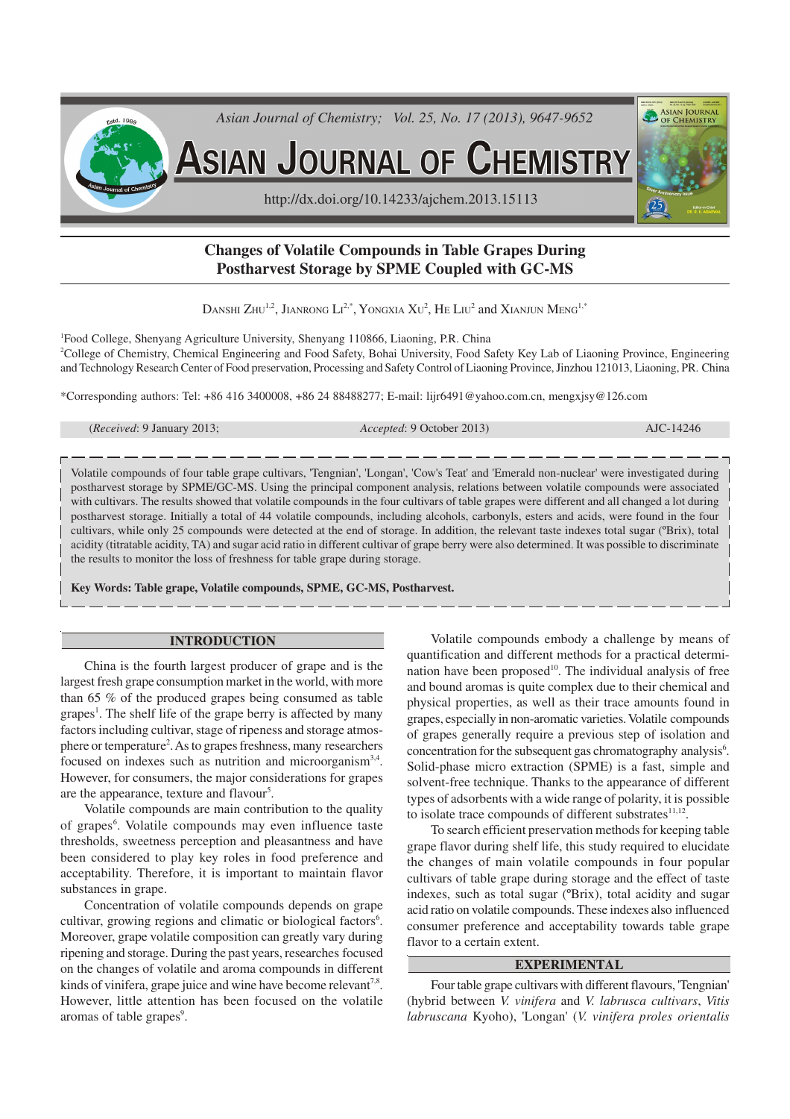

# **Changes of Volatile Compounds in Table Grapes During Postharvest Storage by SPME Coupled with GC-MS**

DANSHI ZHU<sup>1,2</sup>, JIANRONG  $\mathrm{Li}^{2,*}, \mathrm{Y}$ ONGXIA  $\mathrm{Xu}^2, \mathrm{He}$   $\mathrm{L} \mathrm{u}^2$  and  $\mathrm{X}$ ianjun  $\mathrm{Meng}^{1,*}$ 

<sup>1</sup>Food College, Shenyang Agriculture University, Shenyang 110866, Liaoning, P.R. China <sup>2</sup>College of Chemistry, Chemical Engineering and Food Safety, Bohai University, Food Safety Key Lab of Liaoning Province, Engineering and Technology Research Center of Food preservation, Processing and Safety Control of Liaoning Province, Jinzhou 121013, Liaoning, PR. China

\*Corresponding authors: Tel: +86 416 3400008, +86 24 88488277; E-mail: lijr6491@yahoo.com.cn, mengxjsy@126.com

| ( <i>Received</i> : 9 January 2013; |  |  |  |
|-------------------------------------|--|--|--|
|-------------------------------------|--|--|--|

(*Received*: 9 January 2013; *Accepted*: 9 October 2013) AJC-14246

Volatile compounds of four table grape cultivars, 'Tengnian', 'Longan', 'Cow's Teat' and 'Emerald non-nuclear' were investigated during postharvest storage by SPME/GC-MS. Using the principal component analysis, relations between volatile compounds were associated with cultivars. The results showed that volatile compounds in the four cultivars of table grapes were different and all changed a lot during postharvest storage. Initially a total of 44 volatile compounds, including alcohols, carbonyls, esters and acids, were found in the four cultivars, while only 25 compounds were detected at the end of storage. In addition, the relevant taste indexes total sugar (ºBrix), total acidity (titratable acidity, TA) and sugar acid ratio in different cultivar of grape berry were also determined. It was possible to discriminate the results to monitor the loss of freshness for table grape during storage.

**Key Words: Table grape, Volatile compounds, SPME, GC-MS, Postharvest.**

#### **INTRODUCTION**

China is the fourth largest producer of grape and is the largest fresh grape consumption market in the world, with more than 65 % of the produced grapes being consumed as table grapes<sup>1</sup>. The shelf life of the grape berry is affected by many factors including cultivar, stage of ripeness and storage atmosphere or temperature 2 . As to grapes freshness, many researchers focused on indexes such as nutrition and microorganism<sup>3,4</sup>. However, for consumers, the major considerations for grapes are the appearance, texture and flavour<sup>5</sup>.

Volatile compounds are main contribution to the quality of grapes<sup>6</sup>. Volatile compounds may even influence taste thresholds, sweetness perception and pleasantness and have been considered to play key roles in food preference and acceptability. Therefore, it is important to maintain flavor substances in grape.

Concentration of volatile compounds depends on grape cultivar, growing regions and climatic or biological factors 6 . Moreover, grape volatile composition can greatly vary during ripening and storage. During the past years, researches focused on the changes of volatile and aroma compounds in different kinds of vinifera, grape juice and wine have become relevant<sup>7,8</sup>. However, little attention has been focused on the volatile aromas of table grapes<sup>9</sup>.

Volatile compounds embody a challenge by means of quantification and different methods for a practical determination have been proposed<sup>10</sup>. The individual analysis of free and bound aromas is quite complex due to their chemical and physical properties, as well as their trace amounts found in grapes, especially in non-aromatic varieties. Volatile compounds of grapes generally require a previous step of isolation and concentration for the subsequent gas chromatography analysis<sup>6</sup>. Solid-phase micro extraction (SPME) is a fast, simple and solvent-free technique. Thanks to the appearance of different types of adsorbents with a wide range of polarity, it is possible to isolate trace compounds of different substrates $11,12$ .

To search efficient preservation methods for keeping table grape flavor during shelf life, this study required to elucidate the changes of main volatile compounds in four popular cultivars of table grape during storage and the effect of taste indexes, such as total sugar (ºBrix), total acidity and sugar acid ratio on volatile compounds. These indexes also influenced consumer preference and acceptability towards table grape flavor to a certain extent.

## **EXPERIMENTAL**

Four table grape cultivars with different flavours, 'Tengnian' (hybrid between *V. vinifera* and *V. labrusca cultivars*, *Vitis labruscana* Kyoho), 'Longan' (*V. vinifera proles orientalis*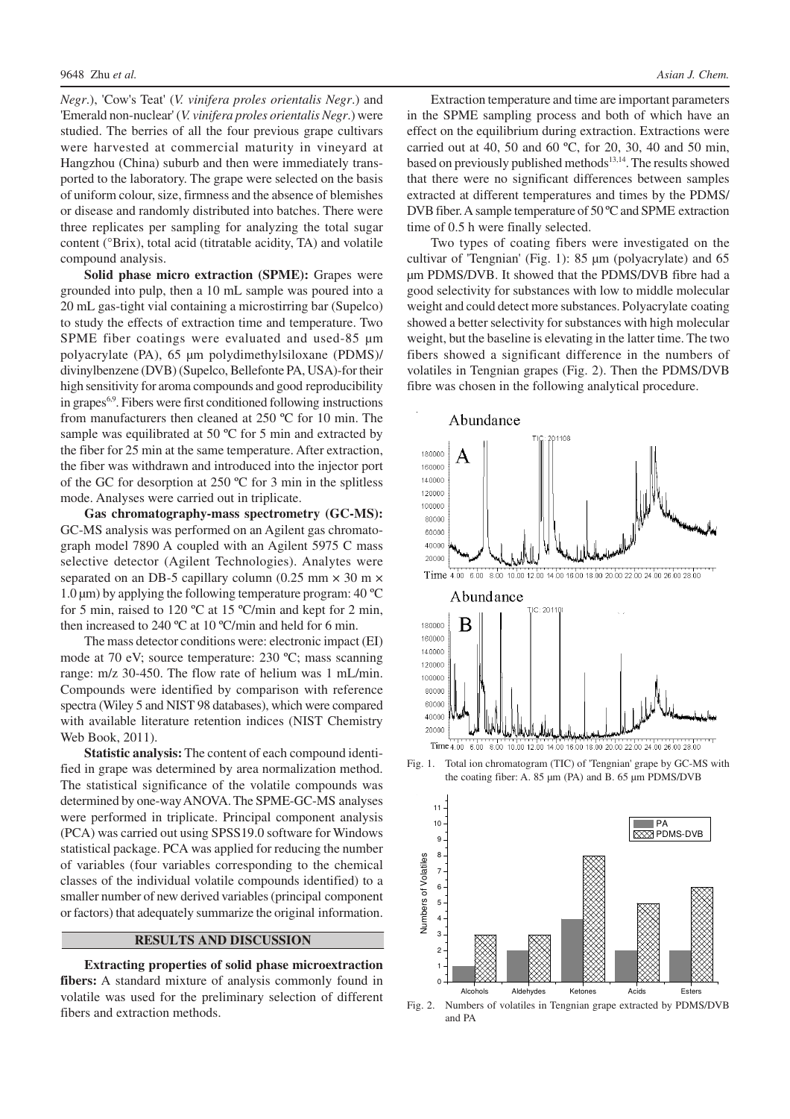*Negr*.), 'Cow's Teat' (*V. vinifera proles orientalis Negr*.) and 'Emerald non-nuclear' (*V. vinifera proles orientalis Negr*.) were studied. The berries of all the four previous grape cultivars were harvested at commercial maturity in vineyard at Hangzhou (China) suburb and then were immediately transported to the laboratory. The grape were selected on the basis of uniform colour, size, firmness and the absence of blemishes or disease and randomly distributed into batches. There were three replicates per sampling for analyzing the total sugar content (°Brix), total acid (titratable acidity, TA) and volatile compound analysis.

**Solid phase micro extraction (SPME):** Grapes were grounded into pulp, then a 10 mL sample was poured into a 20 mL gas-tight vial containing a microstirring bar (Supelco) to study the effects of extraction time and temperature. Two SPME fiber coatings were evaluated and used-85  $\mu$ m polyacrylate (PA), 65 µm polydimethylsiloxane (PDMS)/ divinylbenzene (DVB) (Supelco, Bellefonte PA, USA)-for their high sensitivity for aroma compounds and good reproducibility in grapes6,9. Fibers were first conditioned following instructions from manufacturers then cleaned at 250 ºC for 10 min. The sample was equilibrated at 50 °C for 5 min and extracted by the fiber for 25 min at the same temperature. After extraction, the fiber was withdrawn and introduced into the injector port of the GC for desorption at 250 ºC for 3 min in the splitless mode. Analyses were carried out in triplicate.

**Gas chromatography-mass spectrometry (GC-MS):** GC-MS analysis was performed on an Agilent gas chromatograph model 7890 A coupled with an Agilent 5975 C mass selective detector (Agilent Technologies). Analytes were separated on an DB-5 capillary column (0.25 mm  $\times$  30 m  $\times$  $1.0 \,\mu$ m) by applying the following temperature program: 40 °C for 5 min, raised to 120 ºC at 15 ºC/min and kept for 2 min, then increased to 240 ºC at 10 ºC/min and held for 6 min.

The mass detector conditions were: electronic impact (EI) mode at 70 eV; source temperature: 230 ºC; mass scanning range: m/z 30-450. The flow rate of helium was 1 mL/min. Compounds were identified by comparison with reference spectra (Wiley 5 and NIST 98 databases), which were compared with available literature retention indices (NIST Chemistry Web Book, 2011).

**Statistic analysis:** The content of each compound identified in grape was determined by area normalization method. The statistical significance of the volatile compounds was determined by one-way ANOVA. The SPME-GC-MS analyses were performed in triplicate. Principal component analysis (PCA) was carried out using SPSS19.0 software for Windows statistical package. PCA was applied for reducing the number of variables (four variables corresponding to the chemical classes of the individual volatile compounds identified) to a smaller number of new derived variables (principal component or factors) that adequately summarize the original information.

## **RESULTS AND DISCUSSION**

**Extracting properties of solid phase microextraction fibers:** A standard mixture of analysis commonly found in volatile was used for the preliminary selection of different fibers and extraction methods.

Extraction temperature and time are important parameters in the SPME sampling process and both of which have an effect on the equilibrium during extraction. Extractions were carried out at 40, 50 and 60 ºC, for 20, 30, 40 and 50 min, based on previously published methods<sup>13,14</sup>. The results showed that there were no significant differences between samples extracted at different temperatures and times by the PDMS/ DVB fiber. A sample temperature of 50 ºC and SPME extraction time of 0.5 h were finally selected.

Two types of coating fibers were investigated on the cultivar of 'Tengnian' (Fig. 1): 85 µm (polyacrylate) and 65 µm PDMS/DVB. It showed that the PDMS/DVB fibre had a good selectivity for substances with low to middle molecular weight and could detect more substances. Polyacrylate coating showed a better selectivity for substances with high molecular weight, but the baseline is elevating in the latter time. The two fibers showed a significant difference in the numbers of volatiles in Tengnian grapes (Fig. 2). Then the PDMS/DVB fibre was chosen in the following analytical procedure.







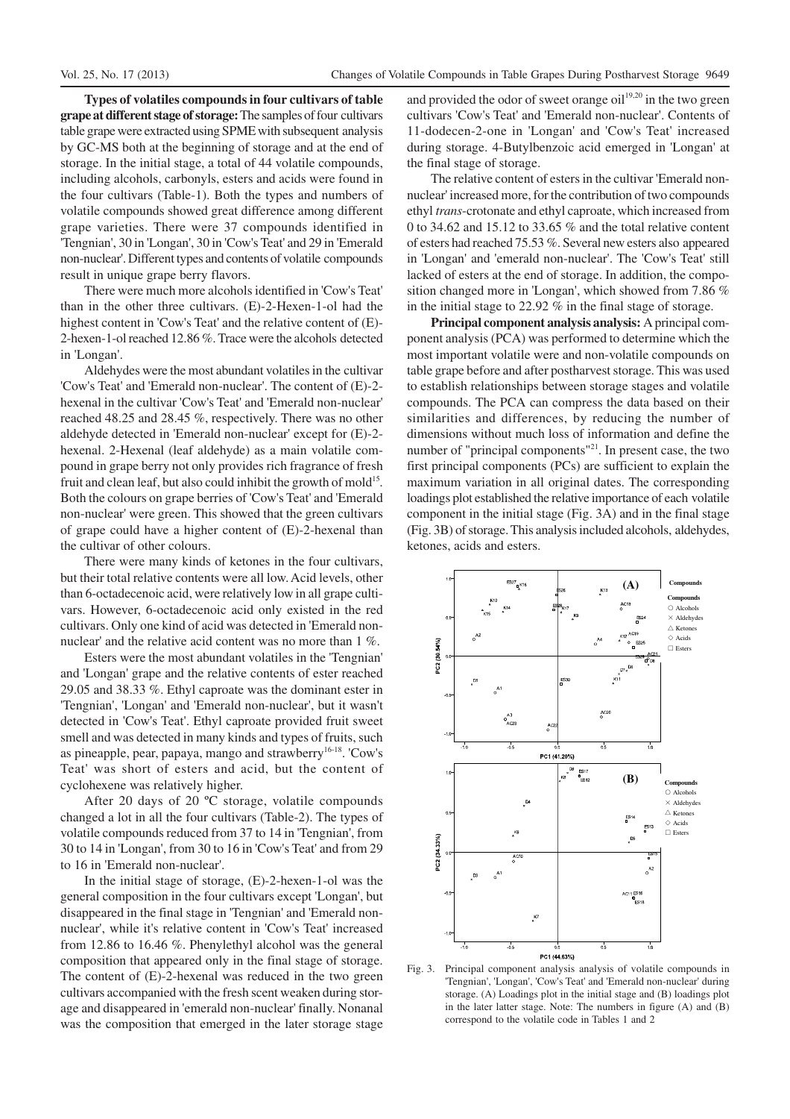**Types of volatiles compounds in four cultivars of table grape at different stage of storage:** The samples of four cultivars table grape were extracted using SPME with subsequent analysis by GC-MS both at the beginning of storage and at the end of storage. In the initial stage, a total of 44 volatile compounds, including alcohols, carbonyls, esters and acids were found in the four cultivars (Table-1). Both the types and numbers of volatile compounds showed great difference among different grape varieties. There were 37 compounds identified in 'Tengnian', 30 in 'Longan', 30 in 'Cow's Teat' and 29 in 'Emerald non-nuclear'. Different types and contents of volatile compounds result in unique grape berry flavors.

There were much more alcohols identified in 'Cow's Teat' than in the other three cultivars. (E)-2-Hexen-1-ol had the highest content in 'Cow's Teat' and the relative content of (E)- 2-hexen-1-ol reached 12.86 %. Trace were the alcohols detected in 'Longan'.

Aldehydes were the most abundant volatiles in the cultivar 'Cow's Teat' and 'Emerald non-nuclear'. The content of (E)-2 hexenal in the cultivar 'Cow's Teat' and 'Emerald non-nuclear' reached 48.25 and 28.45 %, respectively. There was no other aldehyde detected in 'Emerald non-nuclear' except for (E)-2 hexenal. 2-Hexenal (leaf aldehyde) as a main volatile compound in grape berry not only provides rich fragrance of fresh fruit and clean leaf, but also could inhibit the growth of mold<sup>15</sup>. Both the colours on grape berries of 'Cow's Teat' and 'Emerald non-nuclear' were green. This showed that the green cultivars of grape could have a higher content of (E)-2-hexenal than the cultivar of other colours.

There were many kinds of ketones in the four cultivars, but their total relative contents were all low. Acid levels, other than 6-octadecenoic acid, were relatively low in all grape cultivars. However, 6-octadecenoic acid only existed in the red cultivars. Only one kind of acid was detected in 'Emerald nonnuclear' and the relative acid content was no more than 1 %.

Esters were the most abundant volatiles in the 'Tengnian' and 'Longan' grape and the relative contents of ester reached 29.05 and 38.33 %. Ethyl caproate was the dominant ester in 'Tengnian', 'Longan' and 'Emerald non-nuclear', but it wasn't detected in 'Cow's Teat'. Ethyl caproate provided fruit sweet smell and was detected in many kinds and types of fruits, such as pineapple, pear, papaya, mango and strawberry<sup>16-18</sup>. 'Cow's Teat' was short of esters and acid, but the content of cyclohexene was relatively higher.

After 20 days of 20 ºC storage, volatile compounds changed a lot in all the four cultivars (Table-2). The types of volatile compounds reduced from 37 to 14 in 'Tengnian', from 30 to 14 in 'Longan', from 30 to 16 in 'Cow's Teat' and from 29 to 16 in 'Emerald non-nuclear'.

In the initial stage of storage, (E)-2-hexen-1-ol was the general composition in the four cultivars except 'Longan', but disappeared in the final stage in 'Tengnian' and 'Emerald nonnuclear', while it's relative content in 'Cow's Teat' increased from 12.86 to 16.46 %. Phenylethyl alcohol was the general composition that appeared only in the final stage of storage. The content of (E)-2-hexenal was reduced in the two green cultivars accompanied with the fresh scent weaken during storage and disappeared in 'emerald non-nuclear' finally. Nonanal was the composition that emerged in the later storage stage

and provided the odor of sweet orange oil<sup>19,20</sup> in the two green cultivars 'Cow's Teat' and 'Emerald non-nuclear'. Contents of 11-dodecen-2-one in 'Longan' and 'Cow's Teat' increased during storage. 4-Butylbenzoic acid emerged in 'Longan' at the final stage of storage.

The relative content of esters in the cultivar 'Emerald nonnuclear' increased more, for the contribution of two compounds ethyl *trans*-crotonate and ethyl caproate, which increased from 0 to 34.62 and 15.12 to 33.65 % and the total relative content of esters had reached 75.53 %. Several new esters also appeared in 'Longan' and 'emerald non-nuclear'. The 'Cow's Teat' still lacked of esters at the end of storage. In addition, the composition changed more in 'Longan', which showed from 7.86 % in the initial stage to 22.92 % in the final stage of storage.

**Principal component analysis analysis:** A principal component analysis (PCA) was performed to determine which the most important volatile were and non-volatile compounds on table grape before and after postharvest storage. This was used to establish relationships between storage stages and volatile compounds. The PCA can compress the data based on their similarities and differences, by reducing the number of dimensions without much loss of information and define the number of "principal components"<sup>21</sup>. In present case, the two first principal components (PCs) are sufficient to explain the maximum variation in all original dates. The corresponding loadings plot established the relative importance of each volatile component in the initial stage (Fig. 3A) and in the final stage (Fig. 3B) of storage. This analysis included alcohols, aldehydes, ketones, acids and esters.



Fig. 3. Principal component analysis analysis of volatile compounds in 'Tengnian', 'Longan', 'Cow's Teat' and 'Emerald non-nuclear' during storage. (A) Loadings plot in the initial stage and (B) loadings plot in the later latter stage. Note: The numbers in figure (A) and (B) correspond to the volatile code in Tables 1 and 2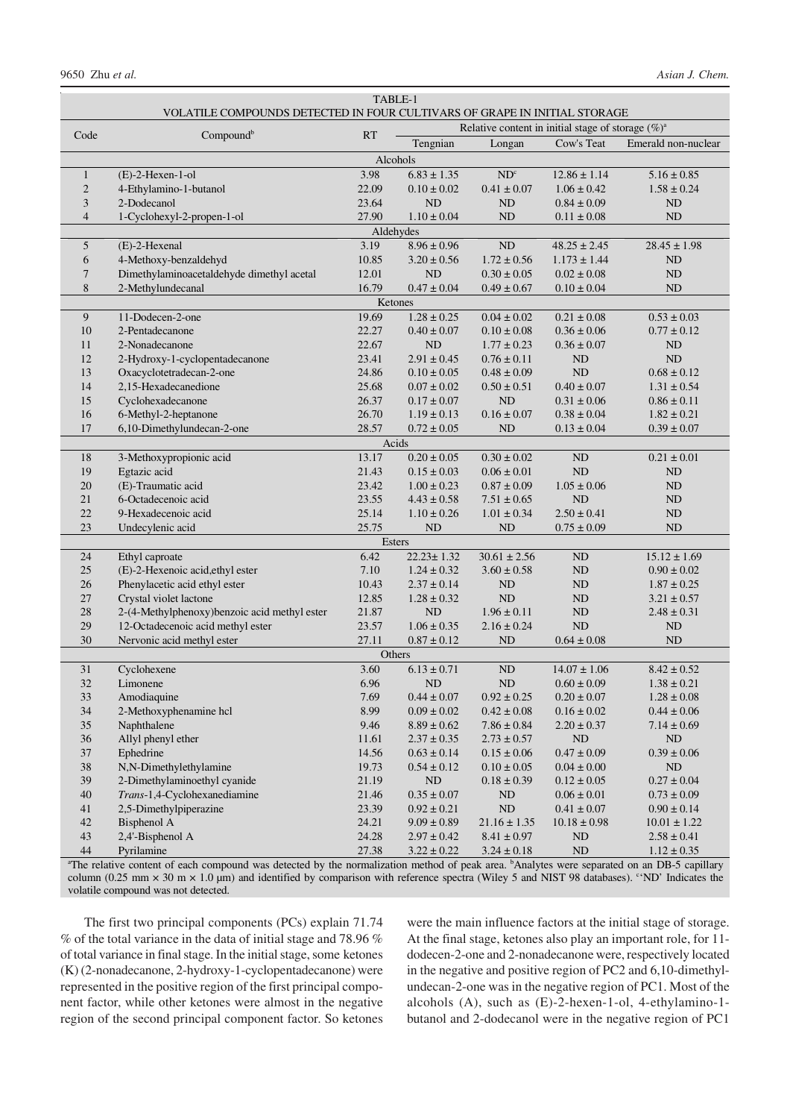| TABLE-1        |                                                         |                                                                           |                                                       |                  |                  |                                    |  |  |  |
|----------------|---------------------------------------------------------|---------------------------------------------------------------------------|-------------------------------------------------------|------------------|------------------|------------------------------------|--|--|--|
|                |                                                         | VOLATILE COMPOUNDS DETECTED IN FOUR CULTIVARS OF GRAPE IN INITIAL STORAGE |                                                       |                  |                  |                                    |  |  |  |
| Code           | Compound <sup>b</sup>                                   | <b>RT</b>                                                                 | Relative content in initial stage of storage $(\%)^a$ |                  |                  |                                    |  |  |  |
|                |                                                         |                                                                           | Tengnian                                              | Longan           | Cow's Teat       | Emerald non-nuclear                |  |  |  |
| Alcohols       |                                                         |                                                                           |                                                       |                  |                  |                                    |  |  |  |
| $\mathbf{1}$   | $(E)$ -2-Hexen-1-ol                                     | 3.98                                                                      | $6.83 \pm 1.35$                                       | ND <sup>c</sup>  | $12.86 \pm 1.14$ | $5.16 \pm 0.85$                    |  |  |  |
| $\overline{2}$ | 4-Ethylamino-1-butanol                                  | 22.09                                                                     | $0.10 \pm 0.02$                                       | $0.41 \pm 0.07$  | $1.06 \pm 0.42$  | $1.58 \pm 0.24$                    |  |  |  |
| 3              | 2-Dodecanol                                             | 23.64                                                                     | <b>ND</b>                                             | N <sub>D</sub>   | $0.84 \pm 0.09$  | ND                                 |  |  |  |
| $\overline{4}$ | 1-Cyclohexyl-2-propen-1-ol                              | 27.90                                                                     | $1.10 \pm 0.04$<br>Aldehydes                          | <b>ND</b>        | $0.11 \pm 0.08$  | ND                                 |  |  |  |
| 5              | (E)-2-Hexenal                                           | 3.19                                                                      | $8.96 \pm 0.96$                                       | ND               | $48.25 \pm 2.45$ | $28.45 \pm 1.98$                   |  |  |  |
| 6              | 4-Methoxy-benzaldehyd                                   | 10.85                                                                     | $3.20 \pm 0.56$                                       | $1.72 \pm 0.56$  | $1.173 \pm 1.44$ | ND                                 |  |  |  |
| 7              | Dimethylaminoacetaldehyde dimethyl acetal               | 12.01                                                                     | <b>ND</b>                                             | $0.30 \pm 0.05$  | $0.02 \pm 0.08$  | ND                                 |  |  |  |
| 8              | 2-Methylundecanal                                       | 16.79                                                                     | $0.47 \pm 0.04$                                       | $0.49 \pm 0.67$  | $0.10 \pm 0.04$  | ND                                 |  |  |  |
|                |                                                         | Ketones                                                                   |                                                       |                  |                  |                                    |  |  |  |
| 9              | 11-Dodecen-2-one                                        | 19.69                                                                     | $1.28 \pm 0.25$                                       | $0.04 \pm 0.02$  | $0.21 \pm 0.08$  | $0.53 \pm 0.03$                    |  |  |  |
| 10             | 2-Pentadecanone                                         | 22.27                                                                     | $0.40 \pm 0.07$                                       | $0.10 \pm 0.08$  | $0.36 \pm 0.06$  | $0.77 \pm 0.12$                    |  |  |  |
| 11             | 2-Nonadecanone                                          | 22.67                                                                     | <b>ND</b>                                             | $1.77 \pm 0.23$  | $0.36 \pm 0.07$  | ND                                 |  |  |  |
| 12             | 2-Hydroxy-1-cyclopentadecanone                          | 23.41                                                                     | $2.91 \pm 0.45$                                       | $0.76 \pm 0.11$  | ND               | ND                                 |  |  |  |
| 13             | Oxacyclotetradecan-2-one                                | 24.86                                                                     | $0.10 \pm 0.05$                                       | $0.48 \pm 0.09$  | ND               | $0.68 \pm 0.12$                    |  |  |  |
| 14             | 2,15-Hexadecanedione                                    | 25.68                                                                     | $0.07 \pm 0.02$                                       | $0.50 \pm 0.51$  | $0.40 \pm 0.07$  | $1.31 \pm 0.54$                    |  |  |  |
| 15             | Cyclohexadecanone                                       | 26.37                                                                     | $0.17 \pm 0.07$                                       | N <sub>D</sub>   | $0.31 \pm 0.06$  | $0.86 \pm 0.11$                    |  |  |  |
| 16             | 6-Methyl-2-heptanone                                    | 26.70                                                                     | $1.19 \pm 0.13$                                       | $0.16 \pm 0.07$  | $0.38 \pm 0.04$  | $1.82 \pm 0.21$                    |  |  |  |
| 17             | 6,10-Dimethylundecan-2-one                              | 28.57                                                                     | $0.72 \pm 0.05$                                       | ND               | $0.13 \pm 0.04$  | $0.39 \pm 0.07$                    |  |  |  |
|                |                                                         | Acids                                                                     |                                                       |                  |                  |                                    |  |  |  |
| 18             | 3-Methoxypropionic acid                                 | 13.17                                                                     | $0.20 \pm 0.05$                                       | $0.30 \pm 0.02$  | ND               | $0.21 \pm 0.01$                    |  |  |  |
| 19             | Egtazic acid                                            | 21.43                                                                     | $0.15 \pm 0.03$                                       | $0.06 \pm 0.01$  | ND               | ND                                 |  |  |  |
| 20             | (E)-Traumatic acid                                      | 23.42                                                                     | $1.00 \pm 0.23$                                       | $0.87 \pm 0.09$  | $1.05 \pm 0.06$  | ND                                 |  |  |  |
| 21             | 6-Octadecenoic acid                                     | 23.55                                                                     | $4.43 \pm 0.58$                                       | $7.51 \pm 0.65$  | ND               | ND                                 |  |  |  |
| 22             | 9-Hexadecenoic acid                                     | 25.14                                                                     | $1.10 \pm 0.26$                                       | $1.01 \pm 0.34$  | $2.50 \pm 0.41$  | ND                                 |  |  |  |
| 23             | Undecylenic acid                                        | 25.75                                                                     | <b>ND</b>                                             | ND               | $0.75 \pm 0.09$  | ND                                 |  |  |  |
|                |                                                         | Esters                                                                    |                                                       |                  |                  |                                    |  |  |  |
| 24             | Ethyl caproate                                          | 6.42                                                                      | $22.23 \pm 1.32$                                      | $30.61 \pm 2.56$ | ND               | $15.12 \pm 1.69$                   |  |  |  |
| 25             | (E)-2-Hexenoic acid, ethyl ester                        | 7.10                                                                      | $1.24 \pm 0.32$                                       | $3.60 \pm 0.58$  | ND               | $0.90 \pm 0.02$                    |  |  |  |
| 26<br>27       | Phenylacetic acid ethyl ester<br>Crystal violet lactone | 10.43<br>12.85                                                            | $2.37 \pm 0.14$<br>$1.28 \pm 0.32$                    | ND<br>ND         | ND<br>ND         | $1.87 \pm 0.25$<br>$3.21 \pm 0.57$ |  |  |  |
| 28             | 2-(4-Methylphenoxy)benzoic acid methyl ester            | 21.87                                                                     | ND                                                    | $1.96 \pm 0.11$  | ND               | $2.48 \pm 0.31$                    |  |  |  |
| 29             | 12-Octadecenoic acid methyl ester                       | 23.57                                                                     | $1.06 \pm 0.35$                                       | $2.16 \pm 0.24$  | ND               | ND                                 |  |  |  |
| 30             | Nervonic acid methyl ester                              | 27.11                                                                     | $0.87 \pm 0.12$                                       | ND               | $0.64 \pm 0.08$  | $\rm ND$                           |  |  |  |
| Others         |                                                         |                                                                           |                                                       |                  |                  |                                    |  |  |  |
| 31             | Cyclohexene                                             | 3.60                                                                      | $6.13 \pm 0.71$                                       | ND               | $14.07 \pm 1.06$ | $8.42 \pm 0.52$                    |  |  |  |
| 32             | Limonene                                                | 6.96                                                                      | <b>ND</b>                                             | N <sub>D</sub>   | $0.60 \pm 0.09$  | $1.38 \pm 0.21$                    |  |  |  |
| 33             | Amodiaquine                                             | 7.69                                                                      | $0.44 \pm 0.07$                                       | $0.92\pm0.25$    | $0.20\pm0.07$    | $1.28\pm0.08$                      |  |  |  |
| 34             | 2-Methoxyphenamine hcl                                  | 8.99                                                                      | $0.09 \pm 0.02$                                       | $0.42 \pm 0.08$  | $0.16\pm0.02$    | $0.44 \pm 0.06$                    |  |  |  |
| $35\,$         | Naphthalene                                             | 9.46                                                                      | $8.89 \pm 0.62$                                       | $7.86 \pm 0.84$  | $2.20 \pm 0.37$  | $7.14 \pm 0.69$                    |  |  |  |
| 36             | Allyl phenyl ether                                      | 11.61                                                                     | $2.37 \pm 0.35$                                       | $2.73 \pm 0.57$  | ND               | ND                                 |  |  |  |
| 37             | Ephedrine                                               | 14.56                                                                     | $0.63 \pm 0.14$                                       | $0.15 \pm 0.06$  | $0.47\pm0.09$    | $0.39 \pm 0.06$                    |  |  |  |
| 38             | N,N-Dimethylethylamine                                  | 19.73                                                                     | $0.54 \pm 0.12$                                       | $0.10 \pm 0.05$  | $0.04\pm0.00$    | ND                                 |  |  |  |
| 39             | 2-Dimethylaminoethyl cyanide                            | 21.19                                                                     | $\rm ND$                                              | $0.18 \pm 0.39$  | $0.12 \pm 0.05$  | $0.27 \pm 0.04$                    |  |  |  |
| 40             | Trans-1,4-Cyclohexanediamine                            | 21.46                                                                     | $0.35\pm0.07$                                         | $\rm ND$         | $0.06\pm0.01$    | $0.73 \pm 0.09$                    |  |  |  |
| 41             | 2,5-Dimethylpiperazine                                  | 23.39                                                                     | $0.92 \pm 0.21$                                       | $\rm ND$         | $0.41 \pm 0.07$  | $0.90 \pm 0.14$                    |  |  |  |
| 42             | Bisphenol A                                             | 24.21                                                                     | $9.09 \pm 0.89$                                       | $21.16 \pm 1.35$ | $10.18 \pm 0.98$ | $10.01 \pm 1.22$                   |  |  |  |
| 43             | 2,4'-Bisphenol A                                        | 24.28                                                                     | $2.97 \pm 0.42$                                       | $8.41 \pm 0.97$  | $\rm ND$         | $2.58 \pm 0.41$                    |  |  |  |
| 44             | Pyrilamine                                              | 27.38                                                                     | $3.22 \pm 0.22$                                       | $3.24 \pm 0.18$  | $\rm ND$         | $1.12 \pm 0.35$                    |  |  |  |

<sup>a</sup>The relative content of each compound was detected by the normalization method of peak area. <sup>b</sup>Analytes were separated on an DB-5 capillary column (0.25 mm  $\times$  30 m  $\times$  1.0 µm) and identified by comparison with reference spectra (Wiley 5 and NIST 98 databases). "ND' Indicates the volatile compound was not detected.

The first two principal components (PCs) explain 71.74 % of the total variance in the data of initial stage and 78.96 % of total variance in final stage. In the initial stage, some ketones (K) (2-nonadecanone, 2-hydroxy-1-cyclopentadecanone) were represented in the positive region of the first principal component factor, while other ketones were almost in the negative region of the second principal component factor. So ketones

were the main influence factors at the initial stage of storage. At the final stage, ketones also play an important role, for 11 dodecen-2-one and 2-nonadecanone were, respectively located in the negative and positive region of PC2 and 6,10-dimethylundecan-2-one was in the negative region of PC1. Most of the alcohols (A), such as (E)-2-hexen-1-ol, 4-ethylamino-1 butanol and 2-dodecanol were in the negative region of PC1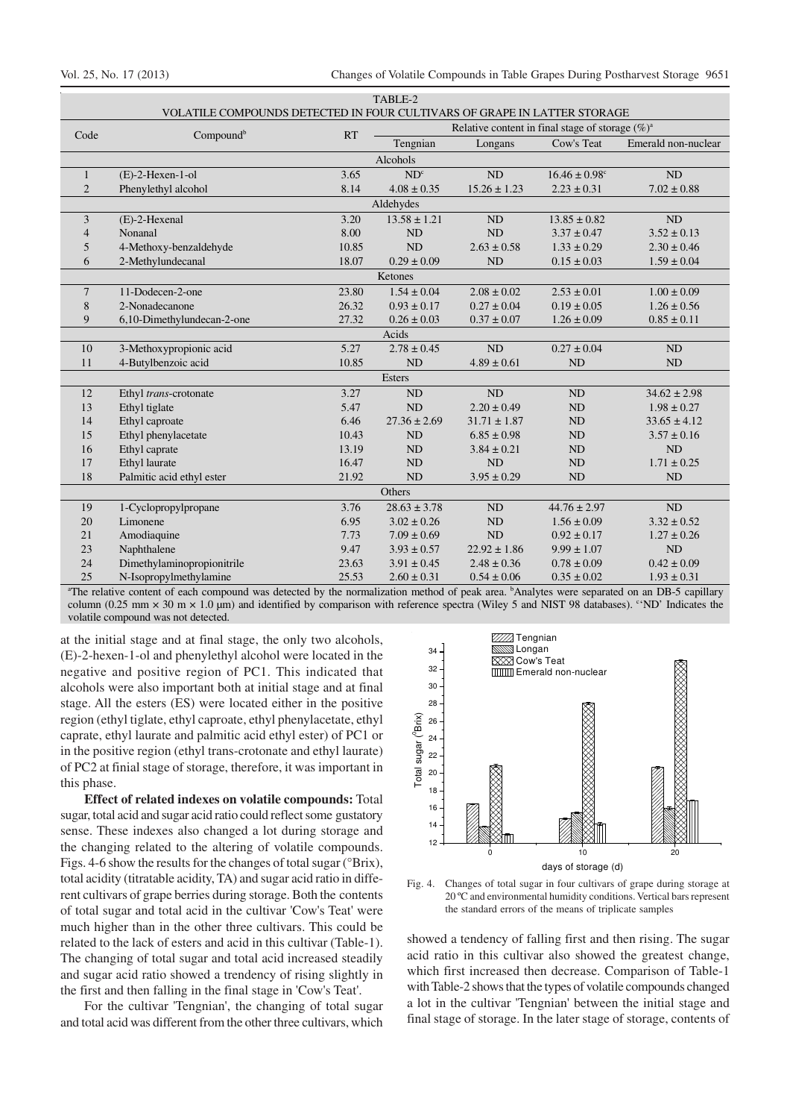| IADLE-2<br>VOLATILE COMPOUNDS DETECTED IN FOUR CULTIVARS OF GRAPE IN LATTER STORAGE |                                                                  |           |                                                     |                  |                               |                     |  |  |  |
|-------------------------------------------------------------------------------------|------------------------------------------------------------------|-----------|-----------------------------------------------------|------------------|-------------------------------|---------------------|--|--|--|
| Code                                                                                |                                                                  |           | Relative content in final stage of storage $(\%)^a$ |                  |                               |                     |  |  |  |
|                                                                                     | Compound <sup>b</sup>                                            | <b>RT</b> | Tengnian                                            | Longans          | Cow's Teat                    | Emerald non-nuclear |  |  |  |
| Alcohols                                                                            |                                                                  |           |                                                     |                  |                               |                     |  |  |  |
| $\mathbf{1}$                                                                        | $(E)$ -2-Hexen-1-ol                                              | 3.65      | ND <sup>c</sup>                                     | ND               | $16.46 \pm 0.98$ <sup>c</sup> | ND                  |  |  |  |
| $\overline{2}$                                                                      | Phenylethyl alcohol                                              | 8.14      | $4.08 \pm 0.35$                                     | $15.26 \pm 1.23$ | $2.23 \pm 0.31$               | $7.02 \pm 0.88$     |  |  |  |
| Aldehydes                                                                           |                                                                  |           |                                                     |                  |                               |                     |  |  |  |
| 3                                                                                   | (E)-2-Hexenal                                                    | 3.20      | $13.58 \pm 1.21$                                    | ND               | $13.85 \pm 0.82$              | ND                  |  |  |  |
| $\overline{4}$                                                                      | Nonanal                                                          | 8.00      | ND                                                  | ND               | $3.37 \pm 0.47$               | $3.52 \pm 0.13$     |  |  |  |
| 5                                                                                   | 4-Methoxy-benzaldehyde                                           | 10.85     | <b>ND</b>                                           | $2.63 \pm 0.58$  | $1.33 \pm 0.29$               | $2.30 \pm 0.46$     |  |  |  |
| 6                                                                                   | 2-Methylundecanal                                                | 18.07     | $0.29 \pm 0.09$                                     | <b>ND</b>        | $0.15 \pm 0.03$               | $1.59 \pm 0.04$     |  |  |  |
| Ketones                                                                             |                                                                  |           |                                                     |                  |                               |                     |  |  |  |
| $\tau$                                                                              | 11-Dodecen-2-one                                                 | 23.80     | $1.54 \pm 0.04$                                     | $2.08 \pm 0.02$  | $2.53 \pm 0.01$               | $1.00 \pm 0.09$     |  |  |  |
| 8                                                                                   | 2-Nonadecanone                                                   | 26.32     | $0.93 \pm 0.17$                                     | $0.27 \pm 0.04$  | $0.19 \pm 0.05$               | $1.26 \pm 0.56$     |  |  |  |
| 9                                                                                   | 6,10-Dimethylundecan-2-one                                       | 27.32     | $0.26 \pm 0.03$                                     | $0.37 \pm 0.07$  | $1.26 \pm 0.09$               | $0.85 \pm 0.11$     |  |  |  |
| Acids                                                                               |                                                                  |           |                                                     |                  |                               |                     |  |  |  |
| 10                                                                                  | 3-Methoxypropionic acid                                          | 5.27      | $2.78 \pm 0.45$                                     | ND               | $0.27 \pm 0.04$               | ND                  |  |  |  |
| 11                                                                                  | 4-Butylbenzoic acid                                              | 10.85     | ND                                                  | $4.89 \pm 0.61$  | ND                            | ND                  |  |  |  |
|                                                                                     |                                                                  |           | <b>Esters</b>                                       |                  |                               |                     |  |  |  |
| 12                                                                                  | Ethyl trans-crotonate                                            | 3.27      | ND                                                  | ND               | ND                            | $34.62 \pm 2.98$    |  |  |  |
| 13                                                                                  | Ethyl tiglate                                                    | 5.47      | ND                                                  | $2.20 \pm 0.49$  | ND                            | $1.98 \pm 0.27$     |  |  |  |
| 14                                                                                  | Ethyl caproate                                                   | 6.46      | $27.36 \pm 2.69$                                    | $31.71 \pm 1.87$ | ND                            | $33.65 \pm 4.12$    |  |  |  |
| 15                                                                                  | Ethyl phenylacetate                                              | 10.43     | <b>ND</b>                                           | $6.85 \pm 0.98$  | ND                            | $3.57 \pm 0.16$     |  |  |  |
| 16                                                                                  | Ethyl caprate                                                    | 13.19     | ND                                                  | $3.84 \pm 0.21$  | <b>ND</b>                     | ND                  |  |  |  |
| 17                                                                                  | Ethyl laurate                                                    | 16.47     | ND                                                  | ND               | ND                            | $1.71 \pm 0.25$     |  |  |  |
| 18                                                                                  | Palmitic acid ethyl ester                                        | 21.92     | <b>ND</b>                                           | $3.95 \pm 0.29$  | <b>ND</b>                     | ND                  |  |  |  |
| Others                                                                              |                                                                  |           |                                                     |                  |                               |                     |  |  |  |
| 19                                                                                  | 1-Cyclopropylpropane                                             | 3.76      | $28.63 \pm 3.78$                                    | ND               | $44.76 \pm 2.97$              | ND                  |  |  |  |
| 20                                                                                  | Limonene                                                         | 6.95      | $3.02 \pm 0.26$                                     | ND               | $1.56 \pm 0.09$               | $3.32 \pm 0.52$     |  |  |  |
| 21                                                                                  | Amodiaquine                                                      | 7.73      | $7.09 \pm 0.69$                                     | ND               | $0.92 \pm 0.17$               | $1.27 \pm 0.26$     |  |  |  |
| 23                                                                                  | Naphthalene                                                      | 9.47      | $3.93 \pm 0.57$                                     | $22.92 \pm 1.86$ | $9.99 \pm 1.07$               | ND                  |  |  |  |
| 24                                                                                  | Dimethylaminopropionitrile                                       | 23.63     | $3.91 \pm 0.45$                                     | $2.48 \pm 0.36$  | $0.78 \pm 0.09$               | $0.42 \pm 0.09$     |  |  |  |
| 25                                                                                  | N-Isopropylmethylamine                                           | 25.53     | $2.60 \pm 0.31$                                     | $0.54 \pm 0.06$  | $0.35 \pm 0.02$               | $1.93 \pm 0.31$     |  |  |  |
|                                                                                     | $h_{\perp}$<br>$\cdot$<br>$\mathbf{a}$ $\mathbf{a}$<br>$mn \sim$ |           |                                                     |                  |                               |                     |  |  |  |

 $T_{\text{max}}$ 

The relative content of each compound was detected by the normalization method of peak area. <sup>b</sup>Analytes were separated on an DB-5 capillary column (0.25 mm  $\times$  30 m  $\times$  1.0 µm) and identified by comparison with reference spectra (Wiley 5 and NIST 98 databases). "ND' Indicates the volatile compound was not detected.

at the initial stage and at final stage, the only two alcohols, (E)-2-hexen-1-ol and phenylethyl alcohol were located in the negative and positive region of PC1. This indicated that alcohols were also important both at initial stage and at final stage. All the esters (ES) were located either in the positive region (ethyl tiglate, ethyl caproate, ethyl phenylacetate, ethyl caprate, ethyl laurate and palmitic acid ethyl ester) of PC1 or in the positive region (ethyl trans-crotonate and ethyl laurate) of PC2 at finial stage of storage, therefore, it was important in this phase.

**Effect of related indexes on volatile compounds:** Total sugar, total acid and sugar acid ratio could reflect some gustatory sense. These indexes also changed a lot during storage and the changing related to the altering of volatile compounds. Figs. 4-6 show the results for the changes of total sugar (°Brix), total acidity (titratable acidity, TA) and sugar acid ratio in different cultivars of grape berries during storage. Both the contents of total sugar and total acid in the cultivar 'Cow's Teat' were much higher than in the other three cultivars. This could be related to the lack of esters and acid in this cultivar (Table-1). The changing of total sugar and total acid increased steadily and sugar acid ratio showed a trendency of rising slightly in the first and then falling in the final stage in 'Cow's Teat'.

For the cultivar 'Tengnian', the changing of total sugar and total acid was different from the other three cultivars, which



Fig. 4. Changes of total sugar in four cultivars of grape during storage at 20 ºC and environmental humidity conditions. Vertical bars represent the standard errors of the means of triplicate samples

showed a tendency of falling first and then rising. The sugar acid ratio in this cultivar also showed the greatest change, which first increased then decrease. Comparison of Table-1 with Table-2 shows that the types of volatile compounds changed a lot in the cultivar 'Tengnian' between the initial stage and final stage of storage. In the later stage of storage, contents of